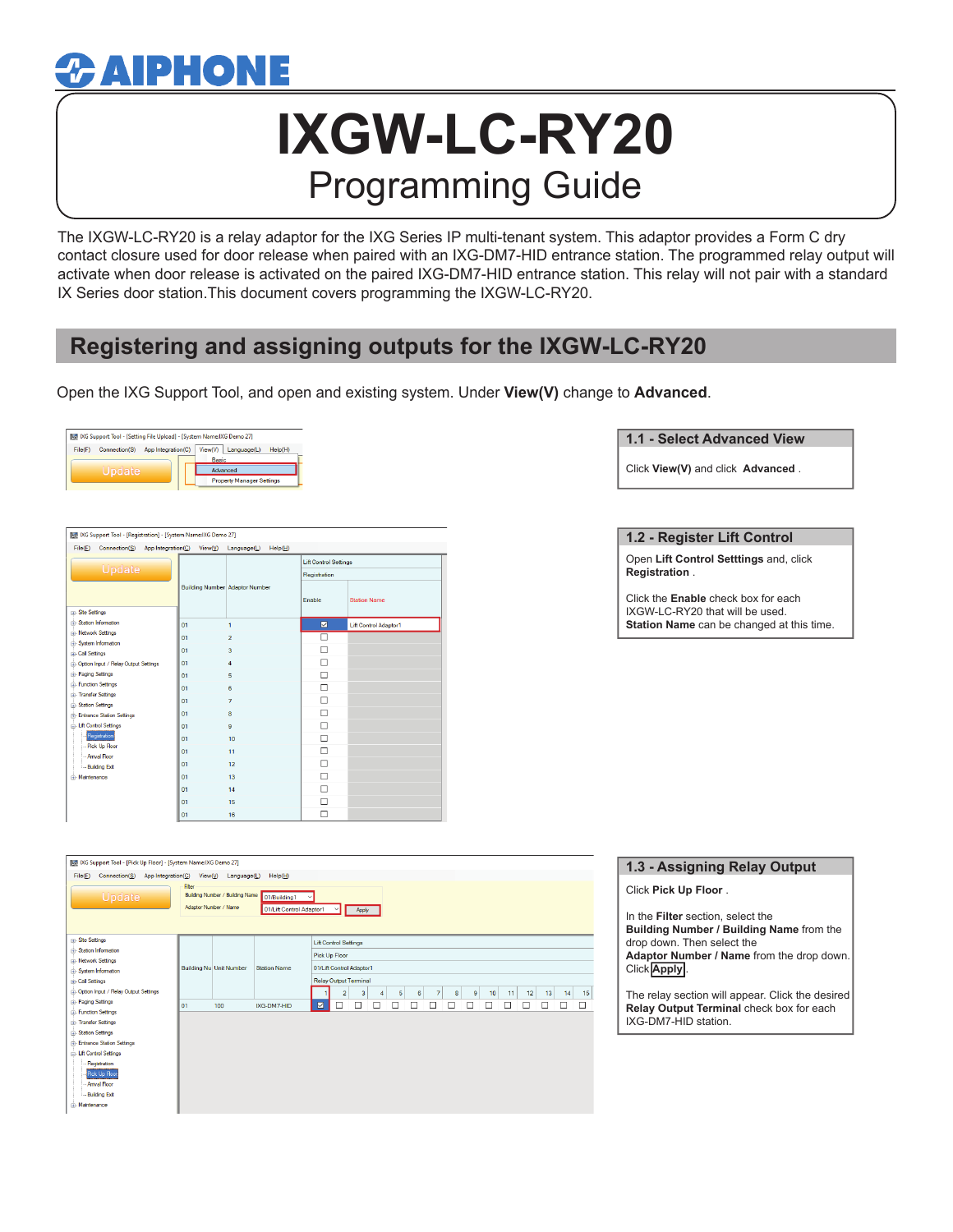## $\boldsymbol{x}$  aiphone

# **IXGW-LC-RY20** Programming Guide

The IXGW-LC-RY20 is a relay adaptor for the IXG Series IP multi-tenant system. This adaptor provides a Form C dry contact closure used for door release when paired with an IXG-DM7-HID entrance station. The programmed relay output will activate when door release is activated on the paired IXG-DM7-HID entrance station. This relay will not pair with a standard IX Series door station.This document covers programming the IXGW-LC-RY20.

### **Registering and assigning outputs for the IXGW-LC-RY20**

Open the IXG Support Tool, and open and existing system. Under **View(V)** change to **Advanced**.



| IVG Support Tool - [Registration] - [System Name:IXG Demo 27] |         |                                       |                              |                       |  |
|---------------------------------------------------------------|---------|---------------------------------------|------------------------------|-----------------------|--|
| File(F)<br>Connection(S)<br>App Integration(C)                | View(V) | Language(L)<br>HeIp(H)                |                              |                       |  |
|                                                               |         |                                       | <b>Lift Control Settings</b> |                       |  |
| <b>Update</b>                                                 |         |                                       | Registration                 |                       |  |
|                                                               |         | <b>Building Number</b> Adaptor Number | Enable                       | <b>Station Name</b>   |  |
| <b>IFI-Site Settings</b>                                      |         |                                       |                              |                       |  |
| (a) Station Information                                       | 01      | 1                                     | ☑                            | Lift Control Adaptor1 |  |
| <b>Hi-Network Settings</b>                                    | 01      | $\overline{2}$                        |                              |                       |  |
| (i) System Information<br><b>E-Call Settings</b>              | 01      | 3                                     | п                            |                       |  |
| in-Option Input / Relay Output Settings                       | 01      | $\overline{4}$                        | П                            |                       |  |
| iii Paging Settings                                           | 01      | 5                                     | П                            |                       |  |
| <b>in-Function Settings</b>                                   | 01      | 6                                     | п                            |                       |  |
| iii- Transfer Settings                                        | 01      | 7                                     | П                            |                       |  |
| <b>B</b> -Station Settings                                    |         |                                       |                              |                       |  |
| <b>Entrance Station Settings</b>                              | 01      | 8                                     | П                            |                       |  |
| <b>El-Lift Control Settings</b>                               | 01      | $\Omega$                              | п                            |                       |  |
| Registration                                                  | 01      | 10                                    | П                            |                       |  |
| - Pick Up Floor<br>- Anival Floor                             | 01      | 11                                    | П                            |                       |  |
| - Building Ext                                                | 01      | 12                                    | п                            |                       |  |
| rii-Maintenance                                               | 01      | 13                                    | П                            |                       |  |
|                                                               | 01      | 14                                    | г                            |                       |  |
|                                                               | 01      | 15                                    | п                            |                       |  |
|                                                               | 01      | 16                                    |                              |                       |  |

#### **1.1 - Select Advanced View**

Click **View(V)** and click **Advanced** .

#### **1.2 - Register Lift Control**

Open **Lift Control Setttings** and, click **Registration** .

Click the **Enable** check box for each IXGW-LC-RY20 that will be used. **Station Name** can be changed at this time.

| 41 IXG Support Tool - [Pick Up Floor] - [System Name:IXG Demo 27]<br>File(E)<br>Connection(S) | App Integration( <u>C</u> ) View( <u>V</u> ) | $L$ anguage $(L)$                                        | HeIp(H)                                  |                              |                              |             |   |   |                            |                |    |          |    |        |    |
|-----------------------------------------------------------------------------------------------|----------------------------------------------|----------------------------------------------------------|------------------------------------------|------------------------------|------------------------------|-------------|---|---|----------------------------|----------------|----|----------|----|--------|----|
| Update                                                                                        | Filter                                       | Building Number / Building Name<br>Adaptor Number / Name | 01/Building1<br>01/Lift Control Adaptor1 |                              | $\vee$                       | Apply       |   |   |                            |                |    |          |    |        |    |
| <b>H</b> -Site Settings                                                                       |                                              |                                                          |                                          |                              | <b>Lift Control Settings</b> |             |   |   |                            |                |    |          |    |        |    |
| (a) Station Information                                                                       |                                              |                                                          |                                          | Pick Up Floor                |                              |             |   |   |                            |                |    |          |    |        |    |
| <b>H</b> -Network Settings<br>(i) System Information                                          |                                              | <b>Building Nu Unit Number</b>                           | <b>Station Name</b>                      | 01/Lift Control Adaptor1     |                              |             |   |   |                            |                |    |          |    |        |    |
| <b>D.</b> Call Settings                                                                       |                                              |                                                          |                                          | <b>Relay Output Terminal</b> |                              |             |   |   |                            |                |    |          |    |        |    |
| <b>E</b> -Option Input / Relay Output Settings                                                |                                              |                                                          |                                          |                              | $\overline{2}$               | 3<br>4      | 5 | 6 | 7 <sup>1</sup><br>$\bf{8}$ | 9 <sup>1</sup> | 10 | 12<br>11 | 13 | 14     | 15 |
| <b>Fil-Paging Settings</b>                                                                    | 01                                           | 100                                                      | IXG-DM7-HID                              | ☑                            | $\Box$                       | $\Box$<br>ப | ட |   | ப                          | $\mathbf{I}$   |    | ப<br>ш   | ┙  | $\Box$ | □  |
| <b>Function Settings</b>                                                                      |                                              |                                                          |                                          |                              |                              |             |   |   |                            |                |    |          |    |        |    |
| in-Transfer Settings                                                                          |                                              |                                                          |                                          |                              |                              |             |   |   |                            |                |    |          |    |        |    |
| [4] Station Settings                                                                          |                                              |                                                          |                                          |                              |                              |             |   |   |                            |                |    |          |    |        |    |
| in-Entrance Station Settings                                                                  |                                              |                                                          |                                          |                              |                              |             |   |   |                            |                |    |          |    |        |    |
| - Lift Control Settings                                                                       |                                              |                                                          |                                          |                              |                              |             |   |   |                            |                |    |          |    |        |    |
| Registration<br>Pick Up Floor                                                                 |                                              |                                                          |                                          |                              |                              |             |   |   |                            |                |    |          |    |        |    |
| <b>Anival Floor</b>                                                                           |                                              |                                                          |                                          |                              |                              |             |   |   |                            |                |    |          |    |        |    |
| <b>Building Ext</b>                                                                           |                                              |                                                          |                                          |                              |                              |             |   |   |                            |                |    |          |    |        |    |
| in-Maintenance                                                                                |                                              |                                                          |                                          |                              |                              |             |   |   |                            |                |    |          |    |        |    |

## **1.3 - Assigning Relay Output**

Click **Pick Up Floor** .

In the **Filter** section, select the **Building Number / Building Name** from the drop down. Then select the **Adaptor Number / Name** from the drop down. Click **Apply** .

The relay section will appear. Click the desired **Relay Output Terminal** check box for each IXG-DM7-HID station.